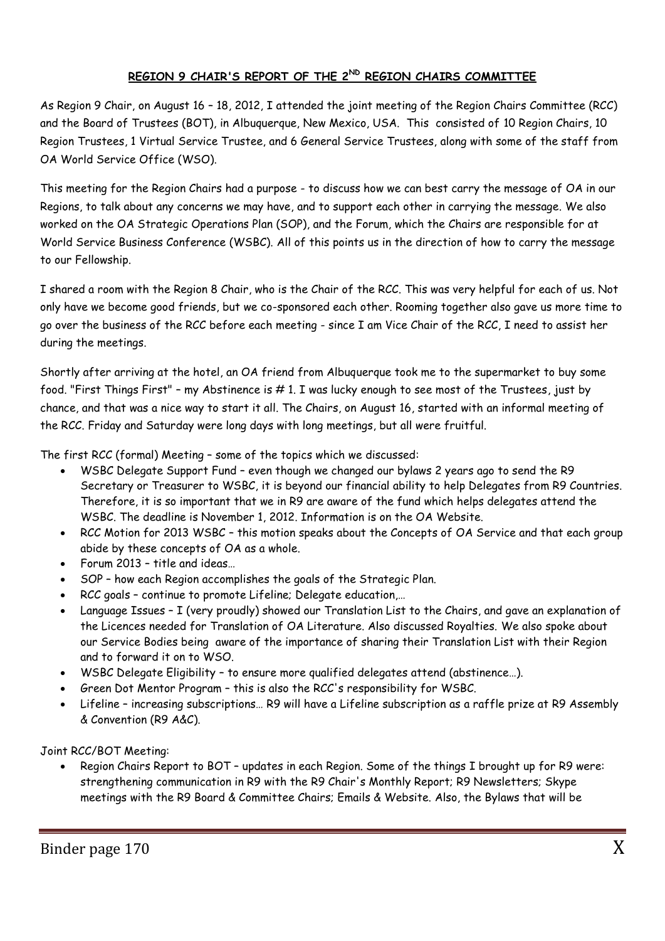## **REGION 9 CHAIR'S REPORT OF THE 2ND REGION CHAIRS COMMITTEE**

As Region 9 Chair, on August 16 – 18, 2012, I attended the joint meeting of the Region Chairs Committee (RCC) and the Board of Trustees (BOT), in Albuquerque, New Mexico, USA. This consisted of 10 Region Chairs, 10 Region Trustees, 1 Virtual Service Trustee, and 6 General Service Trustees, along with some of the staff from OA World Service Office (WSO).

This meeting for the Region Chairs had a purpose - to discuss how we can best carry the message of OA in our Regions, to talk about any concerns we may have, and to support each other in carrying the message. We also worked on the OA Strategic Operations Plan (SOP), and the Forum, which the Chairs are responsible for at World Service Business Conference (WSBC). All of this points us in the direction of how to carry the message to our Fellowship.

I shared a room with the Region 8 Chair, who is the Chair of the RCC. This was very helpful for each of us. Not only have we become good friends, but we co-sponsored each other. Rooming together also gave us more time to go over the business of the RCC before each meeting - since I am Vice Chair of the RCC, I need to assist her during the meetings.

Shortly after arriving at the hotel, an OA friend from Albuquerque took me to the supermarket to buy some food. "First Things First" - my Abstinence is #1. I was lucky enough to see most of the Trustees, just by chance, and that was a nice way to start it all. The Chairs, on August 16, started with an informal meeting of the RCC. Friday and Saturday were long days with long meetings, but all were fruitful.

The first RCC (formal) Meeting – some of the topics which we discussed:

- WSBC Delegate Support Fund even though we changed our bylaws 2 years ago to send the R9 Secretary or Treasurer to WSBC, it is beyond our financial ability to help Delegates from R9 Countries. Therefore, it is so important that we in R9 are aware of the fund which helps delegates attend the WSBC. The deadline is November 1, 2012. Information is on the OA Website.
- RCC Motion for 2013 WSBC this motion speaks about the Concepts of OA Service and that each group abide by these concepts of OA as a whole.
- Forum 2013 title and ideas…
- SOP how each Region accomplishes the goals of the Strategic Plan.
- RCC goals continue to promote Lifeline; Delegate education,…
- Language Issues I (very proudly) showed our Translation List to the Chairs, and gave an explanation of the Licences needed for Translation of OA Literature. Also discussed Royalties. We also spoke about our Service Bodies being aware of the importance of sharing their Translation List with their Region and to forward it on to WSO.
- WSBC Delegate Eligibility to ensure more qualified delegates attend (abstinence…).
- Green Dot Mentor Program this is also the RCC's responsibility for WSBC.
- Lifeline increasing subscriptions… R9 will have a Lifeline subscription as a raffle prize at R9 Assembly & Convention (R9 A&C).

Joint RCC/BOT Meeting:

 Region Chairs Report to BOT – updates in each Region. Some of the things I brought up for R9 were: strengthening communication in R9 with the R9 Chair's Monthly Report; R9 Newsletters; Skype meetings with the R9 Board & Committee Chairs; Emails & Website. Also, the Bylaws that will be